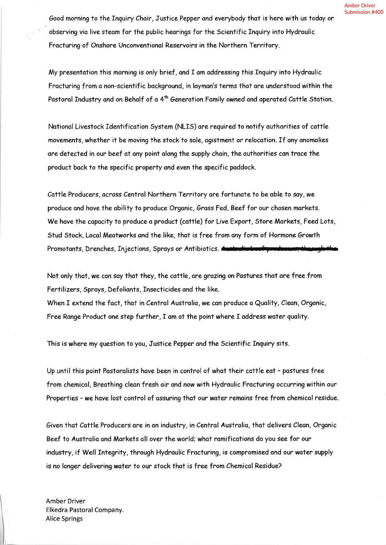Good morning to the Inquiry Chair, Justice Pepper and everybody that is here with us today or observing via live steam for the public hearings for the Scientific Inquiry into Hydraulic Fracturing of Onshore Unconventional Reservoirs in the Northern Territory.

My presentation this morning is only brief, and I am addressing this Inquiry into Hydraulic Fracturing from a non-scientific background, in layman's terms that are understood within the Pastoral Industry and on Behalf of a 4<sup>th</sup> Generation Family owned and operated Cattle Station.

National Livestock Identification System (NLIS) are required to notify authorities of cattle movements, whether it be moving the stock to sale, agistment or relocation. If any anomalies are detected in our beef at any point along the supply chain, the authorities can trace the product back to the specific property and even the specific paddock.

Cattle Producers, across Central Northern Territory are fortunate to be able to say, we produce and have the ability to produce Organic, Grass Fed, Beef for our chosen markets. We have the capacity to produce a product (cattle) for Live Export, Store Markets, Feed Lots, Stud Stock, Local Meatworks and the like, that is free from any form of Hormone Growth Promotants, Drenches, Injections, Sprays or Antibiotics.

Not only that, we can say that they, the cattle, are grazing on Pastures that are free from Fertilizers, Sprays, Defoliants, Insecticides and the like.

When I extend the fact, that in Central Australia, we can produce a Quality, Clean, Organic, Free Range Product one step further, I am at the point where I address water quality.

This is where my question to you, Justice Pepper and the Scientific Inquiry sits.

Up until this point Pastoralists have been in control of what their cattle eat - pastures free from chemical, Breathing clean fresh air and now with Hydraulic Fracturing occurring within our Properties - we have lost control of assuring that our water remains free from chemical residue.

Given that Cattle Producers are in an industry, in Central Australia, that delivers Clean, Organic Beef to Australia and Markets all over the world; what ramifications do you see for our industry, if Well Integrity, through Hydraulic Fracturing, is compromised and our water supply is no longer delivering water to our stock that is free from Chemical Residue?

**Amber Driver** Elkedra Pastoral Company. **Alice Springs**